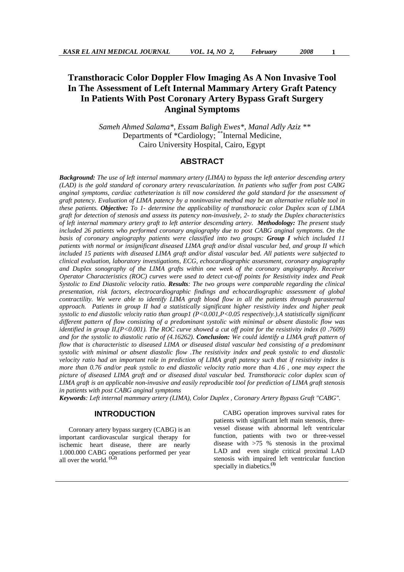**Transthoracic Color Doppler Flow Imaging As A Non Invasive Tool In The Assessment of Left Internal Mammary Artery Graft Patency In Patients With Post Coronary Artery Bypass Graft Surgery Anginal Symptoms** 

> *Sameh Ahmed Salama\*, Essam Baligh Ewes\*, Manal Adly Aziz \*\**  Departments of \*Cardiology; "Internal Medicine, Cairo University Hospital, Cairo, Egypt

# **ABSTRACT**

*Background: The use of left internal mammary artery (LIMA) to bypass the left anterior descending artery (LAD) is the gold standard of coronary artery revascularization. In patients who suffer from post CABG anginal symptoms, cardiac catheterization is till now considered the gold standard for the assessment of graft patency. Evaluation of LIMA patency by a noninvasive method may be an alternative reliable tool in these patients. Objective: To 1- determine the applicability of transthoracic color Duplex scan of LIMA graft for detection of stenosis and assess its patency non-invasively, 2- to study the Duplex characteristics of left internal mammary artery graft to left anterior descending artery. Methodology: The present study included 26 patients who performed coronary angiography due to post CABG anginal symptoms. On the basis of coronary angiography patients were classified into two groups: Group I which included 11 patients with normal or insignificant diseased LIMA graft and/or distal vascular bed, and group II which included 15 patients with diseased LIMA graft and/or distal vascular bed. All patients were subjected to clinical evaluation, laboratory investigations, ECG, echocardiographic assessment, coronary angiography and Duplex sonography of the LIMA grafts within one week of the coronary angiography. Receiver Operator Characteristics (ROC) curves were used to detect cut-off points for Resistivity index and Peak Systolic to End Diastolic velocity ratio. Results: The two groups were comparable regarding the clinical presentation, risk factors, electrocardiographic findings and echocardiographic assessment of global contractility. We were able to identify LIMA graft blood flow in all the patients through parasternal approach. Patients in group II had a statistically significant higher resistivity index and higher peak systolic to end diastolic velocity ratio than group1 (P<0.001,P<0.05 respectively.).A statistically significant different pattern of flow consisting of a predominant systolic with minimal or absent diastolic flow was identified in group II,(P<0.001). The ROC curve showed a cut off point for the resistivity index (0.7609) and for the systolic to diastolic ratio of (4.16262). Conclusion: We could identify a LIMA graft pattern of flow that is characteristic to diseased LIMA or diseased distal vascular bed consisting of a predominant systolic with minimal or absent diastolic flow .The resistivity index and peak systolic to end diastolic velocity ratio had an important role in prediction of LIMA graft patency such that if resistivity index is more than 0.76 and/or peak systolic to end diastolic velocity ratio more than 4.16 , one may expect the picture of diseased LIMA graft and or diseased distal vascular bed. Transthoracic color duplex scan of LIMA graft is an applicable non-invasive and easily reproducible tool for prediction of LIMA graft stenosis in patients with post CABG anginal symptoms* 

*Keywords: Left internal mammary artery (LIMA), Color Duplex , Coronary Artery Bypass Graft "CABG".* 

### **INTRODUCTION**

Coronary artery bypass surgery (CABG) is an important cardiovascular surgical therapy for ischemic heart disease, there are nearly 1.000.000 CABG operations performed per year all over the world. **(1,2)**

CABG operation improves survival rates for patients with significant left main stenosis, threevessel disease with abnormal left ventricular function, patients with two or three-vessel disease with >75 % stenosis in the proximal LAD and even single critical proximal LAD stenosis with impaired left ventricular function specially in diabetics.**(3)**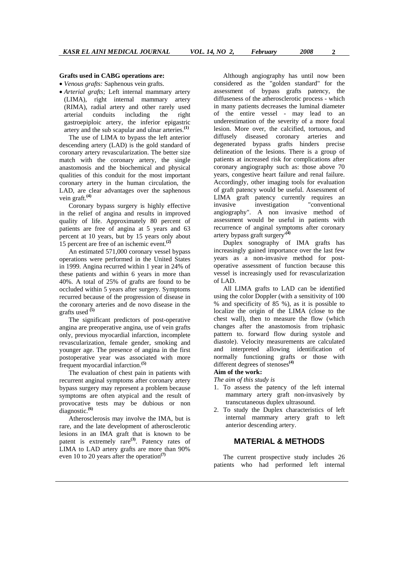#### **Grafts used in CABG operations are:**

• *Venous grafts:* Saphenous vein grafts.

• *Arterial grafts;* Left internal mammary artery (LIMA), right internal mammary artery (RIMA), radial artery and other rarely used arterial conduits including the right gastroepiploic artery, the inferior epigastric artery and the sub scapular and ulnar arteries.**(1)**

The use of LIMA to bypass the left anterior descending artery (LAD) is the gold standard of coronary artery revascularization. The better size match with the coronary artery, the single anastomosis and the biochemical and physical qualities of this conduit for the most important coronary artery in the human circulation, the LAD, are clear advantages over the saphenous vein graft.**(4)**

Coronary bypass surgery is highly effective in the relief of angina and results in improved quality of life. Approximately 80 percent of patients are free of angina at 5 years and 63 percent at 10 years, but by 15 years only about 15 percent are free of an ischemic event.**(2)**

An estimated 571,000 coronary vessel bypass operations were performed in the United States in 1999. Angina recurred within 1 year in 24% of these patients and within 6 years in more than 40%. A total of 25% of grafts are found to be occluded within 5 years after surgery. Symptoms recurred because of the progression of disease in the coronary arteries and de novo disease in the grafts used **(5)**

The significant predictors of post-operative angina are preoperative angina, use of vein grafts only, previous myocardial infarction, incomplete revascularization, female gender, smoking and younger age. The presence of angina in the first postoperative year was associated with more frequent myocardial infarction.**(5)**

The evaluation of chest pain in patients with recurrent anginal symptoms after coronary artery bypass surgery may represent a problem because symptoms are often atypical and the result of provocative tests may be dubious or non diagnostic.**(6)**

Atherosclerosis may involve the IMA, but is rare, and the late development of atherosclerotic lesions in an IMA graft that is known to be patent is extremely rare**(3)**. Patency rates of LIMA to LAD artery grafts are more than 90% even 10 to 20 years after the operation**(7)**

Although angiography has until now been considered as the "golden standard" for the assessment of bypass grafts patency, the diffuseness of the atherosclerotic process - which in many patients decreases the luminal diameter of the entire vessel - may lead to an underestimation of the severity of a more focal lesion. More over, the calcified, tortuous, and diffusely diseased coronary arteries and degenerated bypass grafts hinders precise delineation of the lesions. There is a group of patients at increased risk for complications after coronary angiography such as: those above 70 years, congestive heart failure and renal failure. Accordingly, other imaging tools for evaluation of graft patency would be useful. Assessment of LIMA graft patency currently requires an invasive investigation "conventional angiography". A non invasive method of assessment would be useful in patients with recurrence of anginal symptoms after coronary artery bypass graft surgery'**(4)**

Duplex sonography of IMA grafts has increasingly gained importance over the last few years as a non-invasive method for postoperative assessment of function because this vessel is increasingly used for revascularization  $of I AD$ .

All LIMA grafts to LAD can be identified using the color Doppler (with a sensitivity of 100 % and specificity of 85 %), as it is possible to localize the origin of the LIMA (close to the chest wall), then to measure the flow (which changes after the anastomosis from triphasic pattern to. forward flow during systole and diastole). Velocity measurements are calculated and interpreted allowing identification of normally functioning grafts or those with different degrees of stenoses**(4)**

#### **Aim of the work:**

*The aim of this study is* 

- 1. To assess the patency of the left internal mammary artery graft non-invasively by transcutaneous duplex ultrasound.
- 2. To study the Duplex characteristics of left internal mammary artery graft to left anterior descending artery.

# **MATERIAL & METHODS**

The current prospective study includes 26 patients who had performed left internal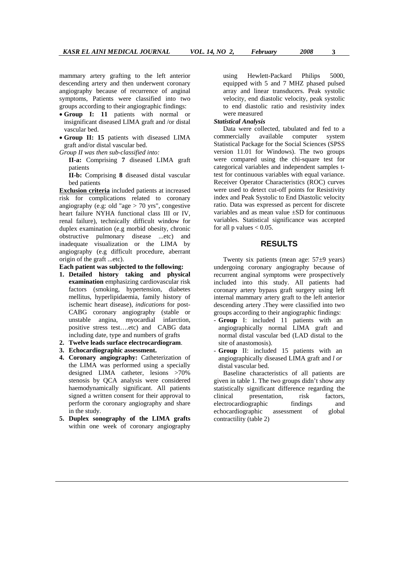mammary artery grafting to the left anterior descending artery and then underwent coronary angiography because of recurrence of anginal symptoms, Patients were classified into two groups according to their angiographic findings:

- **Group I: 11** patients with normal or insignificant diseased LIMA graft and /or distal vascular bed.
- **Group II: 15** patients with diseased LIMA graft and/or distal vascular bed.

*Group II was then sub-classified into:* 

- **II-a:** Comprising **7** diseased LIMA graft patients
- **II-b:** Comprising **8** diseased distal vascular bed patients

**Exclusion criteria** included patients at increased risk for complications related to coronary angiography (e.g: old "age  $>$  70 yrs", congestive heart failure NYHA functional class III or IV, renal failure), technically difficult window for duplex examination (e.g morbid obesity, chronic obstructive pulmonary disease ...etc) and inadequate visualization or the LIMA by angiography (e.g difficult procedure, aberrant origin of the graft ...etc).

**Each patient was subjected to the following:**

- **1. Detailed history taking and physical examination** emphasizing cardiovascular risk factors (smoking, hypertension, diabetes mellitus, hyperlipidaemia, family history of ischemic heart disease), *indications* for post-CABG coronary angiography (stable or unstable angina, myocardial infarction, positive stress test….etc) and CABG data including date, type and numbers of grafts
- **2. Twelve leads surface electrocardiogram**.
- **3. Echocardiographic assessment.**
- **4. Coronary angiography:** Catheterization of the LIMA was performed using a specially designed LIMA catheter, lesions >70% stenosis by QCA analysis were considered haemodynamically significant. All patients signed a written consent for their approval to perform the coronary angiography and share in the study.
- **5. Duplex sonography of the LIMA grafts** within one week of coronary angiography

using Hewlett-Packard Philips 5000, equipped with 5 and 7 MHZ phased pulsed array and linear transducers. Peak systolic velocity, end diastolic velocity, peak systolic to end diastolic ratio and resistivity index were measured

#### *Statistical Analysis*

Data were collected, tabulated and fed to a commercially available computer system Statistical Package for the Social Sciences (SPSS version 11.01 for Windows). The two groups were compared using the chi-square test for categorical variables and independent samples ttest for continuous variables with equal variance. Receiver Operator Characteristics (ROC) curves were used to detect cut-off points for Resistivity index and Peak Systolic to End Diastolic velocity ratio. Data was expressed as percent for discrete variables and as mean value  $\pm$ SD for continuous variables. Statistical significance was accepted for all p values  $< 0.05$ .

## **RESULTS**

Twenty six patients (mean age:  $57\pm9$  years) undergoing coronary angiography because of recurrent anginal symptoms were prospectively included into this study. All patients had coronary artery bypass graft surgery using left internal mammary artery graft to the left anterior descending artery .They were classified into two groups according to their angiographic findings:

- **Group** I: included 11 patients with an angiographically normal LIMA graft and normal distal vascular bed (LAD distal to the site of anastomosis).
- **Group** II: included 15 patients with an angiographically diseased LIMA graft and *l or*  distal vascular bed.

Baseline characteristics of all patients are given in table 1. The two groups didn't show any statistically significant difference regarding the clinical presentation, risk factors, electrocardiographic findings and echocardiographic assessment of global contractility (table 2)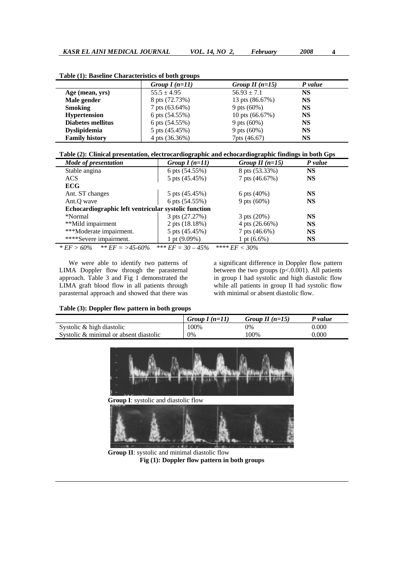|                          | Group $I(n=11)$ | Group II $(n=15)$ | P value   |  |
|--------------------------|-----------------|-------------------|-----------|--|
| Age (mean, yrs)          | $55.5 \pm 4.95$ | $56.93 \pm 7.1$   | NS        |  |
| Male gender              | 8 pts (72.73%)  | 13 pts (86.67%)   | NS        |  |
| <b>Smoking</b>           | 7 pts (63.64%)  | 9 pts $(60%)$     | <b>NS</b> |  |
| <b>Hypertension</b>      | 6 pts (54.55%)  | 10 pts $(66.67%)$ | NS        |  |
| <b>Diabetes mellitus</b> | 6 pts (54.55%)  | 9 pts $(60%)$     | <b>NS</b> |  |
| <b>Dyslipidemia</b>      | 5 pts (45.45%)  | 9 pts $(60%)$     | <b>NS</b> |  |
| <b>Family history</b>    | 4 pts (36.36%)  | 7pts (46.67)      | NS        |  |

**Table (1): Baseline Characteristics of both groups** 

**Table (2): Clinical presentation, electrocardiographic and echocardiographic findings in both Gps** 

| Mode of presentation                                 | Group $I(n=11)$      | Group II $(n=15)$ | P value   |
|------------------------------------------------------|----------------------|-------------------|-----------|
| Stable angina                                        | 6 pts (54.55%)       | 8 pts (53.33%)    | <b>NS</b> |
| <b>ACS</b>                                           | 5 pts (45.45%)       | 7 pts (46.67%)    | <b>NS</b> |
| <b>ECG</b>                                           |                      |                   |           |
| Ant. ST changes                                      | 5 pts (45.45%)       | 6 pts $(40%)$     | <b>NS</b> |
| Ant.O wave                                           | 6 pts (54.55%)       | 9 pts $(60%)$     | <b>NS</b> |
| Echocardiographic left ventricular systolic function |                      |                   |           |
| *Normal                                              | 3 pts (27.27%)       | $3$ pts $(20%)$   | <b>NS</b> |
| **Mild impairment                                    | 2 pts (18.18%)       | 4 pts $(26.66%)$  | <b>NS</b> |
| ***Moderate impairment.                              | 5 pts (45.45%)       | 7 pts (46.6%)     | <b>NS</b> |
| ****Severe impairment.                               | 1 pt $(9.09\%)$      | 1 pt $(6.6\%)$    | <b>NS</b> |
| $*EF > 60\%$ $*EF = > 45.60\%$                       | *** $EF = 30 - 45\%$ | **** $EF < 30\%$  |           |

We were able to identify two patterns of LIMA Doppler flow through the parasternal approach. Table 3 and Fig 1 demonstrated the LIMA graft blood flow in all patients through parasternal approach and showed that there was a significant difference in Doppler flow pattern between the two groups (p<.0.001). All patients in group I had systolic and high diastolic flow while all patients in group II had systolic flow with minimal or absent diastolic flow.

#### **Table (3): Doppler flow pattern in both groups**

|                                        | Group $I(n=11)$ | Group II $(n=15)$ | P value   |
|----------------------------------------|-----------------|-------------------|-----------|
| Systolic & high diastolic              | 100%            | 0%                | $0.000\,$ |
| Systolic & minimal or absent diastolic | 0%              | 100%              | $0.000\,$ |



 **Group II**: systolic and minimal diastolic flow **Fig (1): Doppler flow pattern in both groups**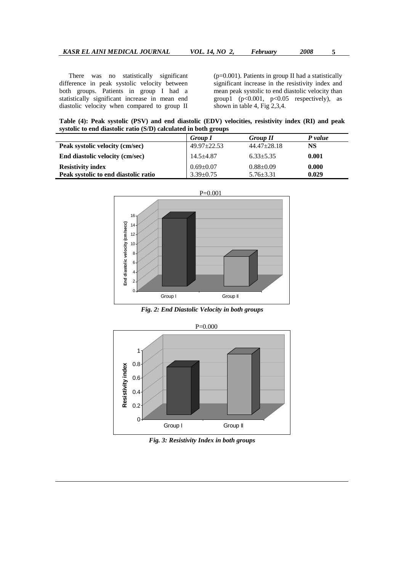There was no statistically significant difference in peak systolic velocity between both groups. Patients in group I had a statistically significant increase in mean end diastolic velocity when compared to group II

(p=0.001). Patients in group II had a statistically significant increase in the resistivity index and mean peak systolic to end diastolic velocity than group1 ( $p<0.001$ ,  $p<0.05$  respectively), as shown in table 4, Fig 2,3,4.

**Table (4): Peak systolic (PSV) and end diastolic (EDV) velocities, resistivity index (RI) and peak systolic to end diastolic ratio (S/D) calculated in both groups** 

|                                      | <b>Group I</b>    | <b>Group II</b>   | P value |
|--------------------------------------|-------------------|-------------------|---------|
| Peak systolic velocity (cm/sec)      | $49.97 \pm 22.53$ | $44.47 \pm 28.18$ | NS      |
| End diastolic velocity (cm/sec)      | $14.5 + 4.87$     | $6.33 + 5.35$     | 0.001   |
| <b>Resistivity index</b>             | $0.69 \pm 0.07$   | $0.88 + 0.09$     | 0.000   |
| Peak systolic to end diastolic ratio | $3.39 + 0.75$     | $5.76 \pm 3.31$   | 0.029   |



*Fig. 2: End Diastolic Velocity in both groups* 



*Fig. 3: Resistivity Index in both groups*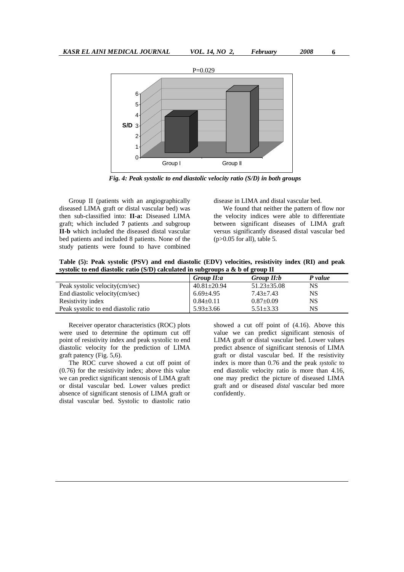

*Fig. 4: Peak systolic to end diastolic velocity ratio (S/D) in both groups* 

Group II (patients with an angiographically diseased LIMA graft or distal vascular bed) was then sub-classified into: **II-a:** Diseased LIMA graft; which included **7** patients .and subgroup **II-b** which included the diseased distal vascular bed patients and included 8 patients. None of the study patients were found to have combined disease in LIMA and distal vascular bed.

We found that neither the pattern of flow nor the velocity indices were able to differentiate between significant diseases of LIMA graft versus significantly diseased distal vascular bed  $(p>0.05$  for all), table 5.

**Table (5): Peak systolic (PSV) and end diastolic (EDV) velocities, resistivity index (RI) and peak systolic to end diastolic ratio (S/D) calculated in subgroups a & b of group II** 

|                                      | Group II:a        | Group II:b        | P value |
|--------------------------------------|-------------------|-------------------|---------|
| Peak systolic velocity (cm/sec)      | $40.81 \pm 20.94$ | $51.23 \pm 35.08$ | NS      |
| End diastolic velocity (cm/sec)      | $6.69{\pm}4.95$   | $7.43 + 7.43$     | NS      |
| Resistivity index                    | $0.84 \pm 0.11$   | $0.87 \pm 0.09$   | NS      |
| Peak systolic to end diastolic ratio | $5.93 + 3.66$     | $5.51 + 3.33$     | NS      |

Receiver operator characteristics (ROC) plots were used to determine the optimum cut off point of resistivity index and peak systolic to end diastolic velocity for the prediction of LIMA graft patency (Fig. 5,6).

The ROC curve showed a cut off point of (0.76) for the resistivity index; above this value we can predict significant stenosis of LIMA graft or distal vascular bed. Lower values predict absence of significant stenosis of LIMA graft or distal vascular bed. Systolic to diastolic ratio showed a cut off point of (4.16). Above this value we can predict significant stenosis of LIMA graft or distal vascular bed. Lower values predict absence of significant stenosis of LIMA graft or distal vascular bed. If the resistivity index is more than 0.76 and the peak *systolic* to end diastolic velocity ratio is more than 4.16, one may predict the picture of diseased LIMA graft and or diseased *distal* vascular bed more confidently.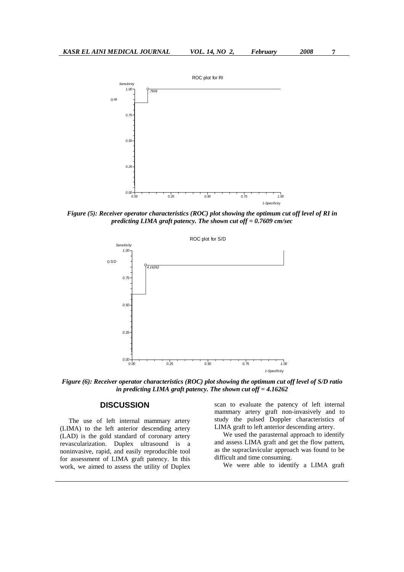

*Figure (5): Receiver operator characteristics (ROC) plot showing the optimum cut off level of RI in predicting LIMA graft patency. The shown cut off = 0.7609 cm/sec* 



*Figure (6): Receiver operator characteristics (ROC) plot showing the optimum cut off level of S/D ratio in predicting LIMA graft patency. The shown cut off = 4.16262* 

# **DISCUSSION**

The use of left internal mammary artery (LIMA) to the left anterior descending artery (LAD) is the gold standard of coronary artery revascularization. Duplex ultrasound is a noninvasive, rapid, and easily reproducible tool for assessment of LIMA graft patency. In this work, we aimed to assess the utility of Duplex scan to evaluate the patency of left internal mammary artery graft non-invasively and to study the pulsed Doppler characteristics of LIMA graft to left anterior descending artery.

We used the parasternal approach to identify and assess LIMA graft and get the flow pattern, as the supraclavicular approach was found to be difficult and time consuming.

We were able to identify a LIMA graft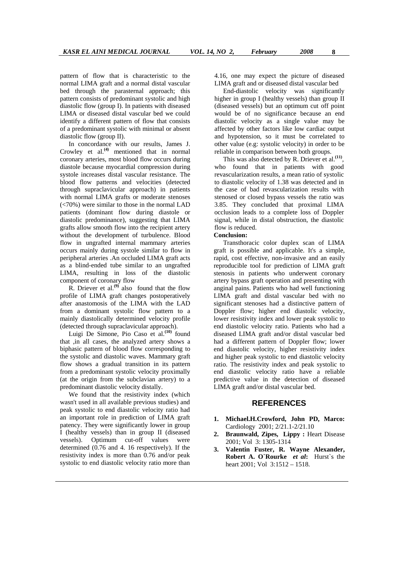pattern of flow that is characteristic to the normal LIMA graft and a normal distal vascular bed through the parasternal approach; this pattern consists of predominant systolic and high diastolic flow (group I). In patients with diseased LIMA or diseased distal vascular bed we could identify a different pattern of flow that consists of a predominant systolic with minimal or absent diastolic flow (group II).

In concordance with our results, James J. Crowley et al.**(4)** mentioned that in normal coronary arteries, most blood flow occurs during diastole because myocardial compression during systole increases distal vascular resistance. The blood flow patterns and velocities (detected through supraclavicular approach) in patients with normal LIMA grafts or moderate stenoses (<70%) were similar to those in the normal LAD patients (dominant flow during diastole or diastolic predominance), suggesting that LIMA grafts allow smooth flow into the recipient artery without the development of turbulence. Blood flow in ungrafted internal mammary arteries occurs mainly during systole similar to flow in peripheral arteries .An occluded LIMA graft acts as a blind-ended tube similar to an ungrafted LIMA, resulting in loss of the diastolic component of coronary flow

R. Driever et al.**(9)** also found that the flow profile of LIMA graft changes postoperatively after anastomosis of the LIMA with the LAD from a dominant systolic flow pattern to a mainly diastolically determined velocity profile (detected through supraclavicular approach).

Luigi De Simone, Pio Caso et al.**(10)** found that ,in all cases, the analyzed artery shows a biphasic pattern of blood flow corresponding to the systolic and diastolic waves. Mammary graft flow shows a gradual transition in its pattern from a predominant systolic velocity proximally (at the origin from the subclavian artery) to a predominant diastolic velocity distally.

We found that the resistivity index (which wasn't used in all available previous studies) and peak systolic to end diastolic velocity ratio had an important role in prediction of LIMA graft patency. They were significantly lower in group I (healthy vessels) than in group II (diseased vessels). Optimum cut-off values were determined (0.76 and 4. 16 respectively). If the resistivity index is more than 0.76 and/or peak systolic to end diastolic velocity ratio more than 4.16, one may expect the picture of diseased LIMA graft and or diseased distal vascular bed

End-diastolic velocity was significantly higher in group I (healthy vessels) than group II (diseased vessels) but an optimum cut off point would be of no significance because an end diastolic velocity as a single value may be affected by other factors like low cardiac output and hypotension, so it must be correlated to other value (e.g: systolic velocity) in order to be reliable in comparison between both groups.

This was also detected by R. Driever et al.**(11)**, who found that in patients with good revascularization results, a mean ratio of systolic to diastolic velocity of 1.38 was detected and in the case of bad revascularization results with stenosed or closed bypass vessels the ratio was 3.85. They concluded that proximal LIMA occlusion leads to a complete loss of Doppler signal, while in distal obstruction, the diastolic flow is reduced.

### **Conclusion:**

Transthoracic color duplex scan of LIMA graft is possible and applicable. It's a simple, rapid, cost effective, non-invasive and an easily reproducible tool for prediction of LIMA graft stenosis in patients who underwent coronary artery bypass graft operation and presenting with anginal pains. Patients who had well functioning LIMA graft and distal vascular bed with no significant stenoses had a distinctive pattern of Doppler flow; higher end diastolic velocity, lower resistivity index and lower peak systolic to end diastolic velocity ratio. Patients who had a diseased LIMA graft and/or distal vascular bed had a different pattern of Doppler flow; lower end diastolic velocity, higher resistivity index and higher peak systolic to end diastolic velocity ratio. The resistivity index and peak systolic to end diastolic velocity ratio have a reliable predictive value in the detection of diseased LIMA graft and/or distal vascular bed.

#### **REFERENCES**

- **1. Michael.H.Crowford, John PD, Marco:** Cardiology 2001; 2/21.1-2/21.10
- **2. Braunwald, Zipes, Lippy :** Heart Disease 2001; Vol 3: 1305-1314
- **3. Valentin Fuster, R. Wayne Alexander, Robert A. O`Rourke** *et al***:** Hurst`s the heart 2001; Vol 3:1512 – 1518.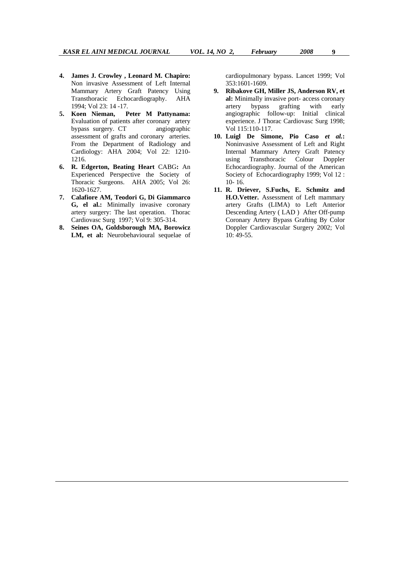- **4. James J. Crowley , Leonard M. Chapiro:** Non invasive Assessment of Left Internal Mammary Artery Graft Patency Using Transthoracic Echocardiography. AHA 1994; Vol 23: 14 -17.
- **5. Koen Nieman, Peter M Pattynama:**  Evaluation of patients after coronary artery bypass surgery. CT angiographic assessment of grafts and coronary arteries. From the Department of Radiology and Cardiology: AHA 2004; Vol 22: 1210- 1216.
- **6. R. Edgerton, Beating Heart** CABG**:** An Experienced Perspective the Society of Thoracic Surgeons. AHA 2005; Vol 26: 1620-1627.
- **7. Calafiore AM, Teodori G, Di Giammarco G, el al.:** Minimally invasive coronary artery surgery: The last operation. Thorac Cardiovasc Surg 1997; Vol 9: 305-314.
- **8. Seines OA, Goldsborough MA, Borowicz LM, et al:** Neurobehavioural sequelae of

cardiopulmonary bypass. Lancet 1999; Vol 353:1601-1609.

- **9. Ribakove GH, Miller JS, Anderson RV, et al:** Minimally invasive port- access coronary artery bypass grafting with early angiographic follow-up: Initial clinical experience. J Thorac Cardiovasc Surg 1998; Vol 115:110-117.
- **10. Luigl De Simone, Pio Caso** *et al.***:** Noninvasive Assessment of Left and Right Internal Mammary Artery Graft Patency using Transthoracic Colour Doppler Echocardiography. Journal of the American Society of Echocardiography 1999; Vol 12 : 10- 16.
- **11. R. Driever, S.Fuchs, E. Schmitz and H.O.Vetter.** Assessment of Left mammary artery Grafts (LIMA) to Left Anterior Descending Artery ( LAD ) After Off-pump Coronary Artery Bypass Grafting By Color Doppler Cardiovascular Surgery 2002; Vol  $10:49-55.$